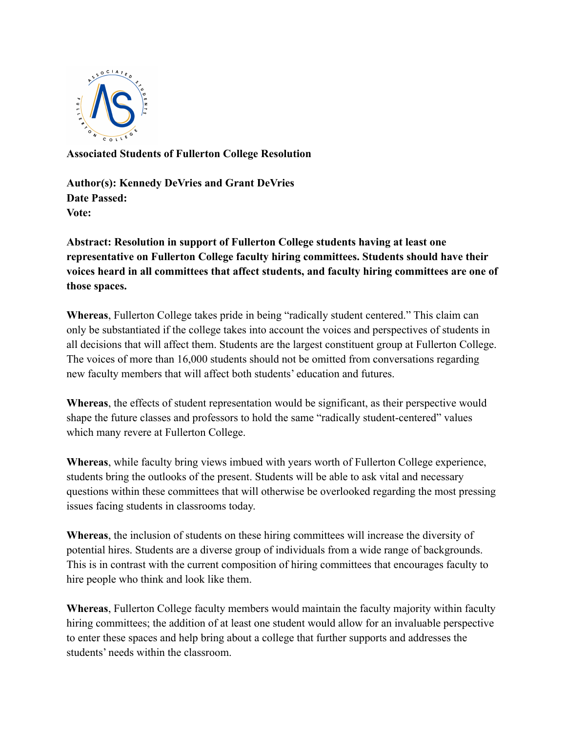

**Associated Students of Fullerton College Resolution**

**Author(s): Kennedy DeVries and Grant DeVries Date Passed: Vote:**

**Abstract: Resolution in support of Fullerton College students having at least one representative on Fullerton College faculty hiring committees. Students should have their voices heard in all committees that affect students, and faculty hiring committees are one of those spaces.**

**Whereas**, Fullerton College takes pride in being "radically student centered." This claim can only be substantiated if the college takes into account the voices and perspectives of students in all decisions that will affect them. Students are the largest constituent group at Fullerton College. The voices of more than 16,000 students should not be omitted from conversations regarding new faculty members that will affect both students' education and futures.

**Whereas**, the effects of student representation would be significant, as their perspective would shape the future classes and professors to hold the same "radically student-centered" values which many revere at Fullerton College.

**Whereas**, while faculty bring views imbued with years worth of Fullerton College experience, students bring the outlooks of the present. Students will be able to ask vital and necessary questions within these committees that will otherwise be overlooked regarding the most pressing issues facing students in classrooms today.

**Whereas**, the inclusion of students on these hiring committees will increase the diversity of potential hires. Students are a diverse group of individuals from a wide range of backgrounds. This is in contrast with the current composition of hiring committees that encourages faculty to hire people who think and look like them.

**Whereas**, Fullerton College faculty members would maintain the faculty majority within faculty hiring committees; the addition of at least one student would allow for an invaluable perspective to enter these spaces and help bring about a college that further supports and addresses the students' needs within the classroom.